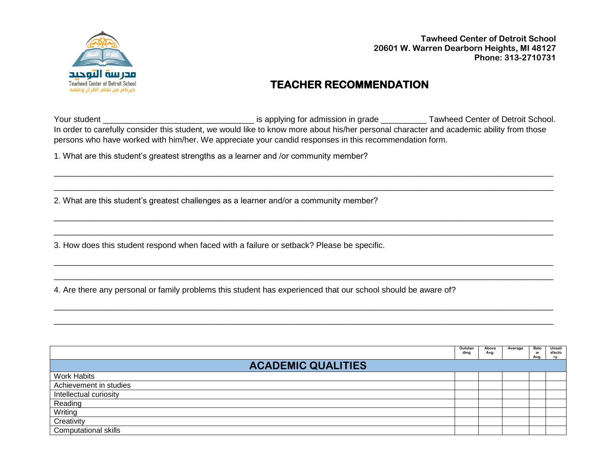

**Tawheed Center of Detroit School 20601 W. Warren Dearborn Heights, MI 48127 Phone: 313-2710731**

## **TEACHER RECOMMENDATION**

Your student \_\_\_\_\_\_\_\_\_\_\_\_\_\_\_\_\_\_\_\_\_\_\_\_\_\_\_\_\_\_\_\_\_ is applying for admission in grade \_\_\_\_\_\_\_\_\_\_ Tawheed Center of Detroit School. In order to carefully consider this student, we would like to know more about his/her personal character and academic ability from those persons who have worked with him/her. We appreciate your candid responses in this recommendation form.

\_\_\_\_\_\_\_\_\_\_\_\_\_\_\_\_\_\_\_\_\_\_\_\_\_\_\_\_\_\_\_\_\_\_\_\_\_\_\_\_\_\_\_\_\_\_\_\_\_\_\_\_\_\_\_\_\_\_\_\_\_\_\_\_\_\_\_\_\_\_\_\_\_\_\_\_\_\_\_\_\_\_\_\_\_\_\_\_\_\_\_\_\_\_\_\_\_\_\_\_\_\_\_\_\_\_\_\_\_ \_\_\_\_\_\_\_\_\_\_\_\_\_\_\_\_\_\_\_\_\_\_\_\_\_\_\_\_\_\_\_\_\_\_\_\_\_\_\_\_\_\_\_\_\_\_\_\_\_\_\_\_\_\_\_\_\_\_\_\_\_\_\_\_\_\_\_\_\_\_\_\_\_\_\_\_\_\_\_\_\_\_\_\_\_\_\_\_\_\_\_\_\_\_\_\_\_\_\_\_\_\_\_\_\_\_\_\_\_

\_\_\_\_\_\_\_\_\_\_\_\_\_\_\_\_\_\_\_\_\_\_\_\_\_\_\_\_\_\_\_\_\_\_\_\_\_\_\_\_\_\_\_\_\_\_\_\_\_\_\_\_\_\_\_\_\_\_\_\_\_\_\_\_\_\_\_\_\_\_\_\_\_\_\_\_\_\_\_\_\_\_\_\_\_\_\_\_\_\_\_\_\_\_\_\_\_\_\_\_\_\_\_\_\_\_\_\_\_ \_\_\_\_\_\_\_\_\_\_\_\_\_\_\_\_\_\_\_\_\_\_\_\_\_\_\_\_\_\_\_\_\_\_\_\_\_\_\_\_\_\_\_\_\_\_\_\_\_\_\_\_\_\_\_\_\_\_\_\_\_\_\_\_\_\_\_\_\_\_\_\_\_\_\_\_\_\_\_\_\_\_\_\_\_\_\_\_\_\_\_\_\_\_\_\_\_\_\_\_\_\_\_\_\_\_\_\_\_

\_\_\_\_\_\_\_\_\_\_\_\_\_\_\_\_\_\_\_\_\_\_\_\_\_\_\_\_\_\_\_\_\_\_\_\_\_\_\_\_\_\_\_\_\_\_\_\_\_\_\_\_\_\_\_\_\_\_\_\_\_\_\_\_\_\_\_\_\_\_\_\_\_\_\_\_\_\_\_\_\_\_\_\_\_\_\_\_\_\_\_\_\_\_\_\_\_\_\_\_\_\_\_\_\_\_\_\_\_ \_\_\_\_\_\_\_\_\_\_\_\_\_\_\_\_\_\_\_\_\_\_\_\_\_\_\_\_\_\_\_\_\_\_\_\_\_\_\_\_\_\_\_\_\_\_\_\_\_\_\_\_\_\_\_\_\_\_\_\_\_\_\_\_\_\_\_\_\_\_\_\_\_\_\_\_\_\_\_\_\_\_\_\_\_\_\_\_\_\_\_\_\_\_\_\_\_\_\_\_\_\_\_\_\_\_\_\_\_

\_\_\_\_\_\_\_\_\_\_\_\_\_\_\_\_\_\_\_\_\_\_\_\_\_\_\_\_\_\_\_\_\_\_\_\_\_\_\_\_\_\_\_\_\_\_\_\_\_\_\_\_\_\_\_\_\_\_\_\_\_\_\_\_\_\_\_\_\_\_\_\_\_\_\_\_\_\_\_\_\_\_\_\_\_\_\_\_\_\_\_\_\_\_\_\_\_\_\_\_\_\_\_\_\_\_\_\_\_ \_\_\_\_\_\_\_\_\_\_\_\_\_\_\_\_\_\_\_\_\_\_\_\_\_\_\_\_\_\_\_\_\_\_\_\_\_\_\_\_\_\_\_\_\_\_\_\_\_\_\_\_\_\_\_\_\_\_\_\_\_\_\_\_\_\_\_\_\_\_\_\_\_\_\_\_\_\_\_\_\_\_\_\_\_\_\_\_\_\_\_\_\_\_\_\_\_\_\_\_\_\_\_\_\_\_\_\_\_

1. What are this student's greatest strengths as a learner and /or community member?

2. What are this student's greatest challenges as a learner and/or a community member?

3. How does this student respond when faced with a failure or setback? Please be specific.

4. Are there any personal or family problems this student has experienced that our school should be aware of?

|                             | Outstan<br>ding | Above<br>Avg. | Average | Belo<br>w<br>Avg. | Unsati<br>sfacto<br>rv. |  |  |
|-----------------------------|-----------------|---------------|---------|-------------------|-------------------------|--|--|
| <b>ACADEMIC QUALITIES</b>   |                 |               |         |                   |                         |  |  |
| <b>Work Habits</b>          |                 |               |         |                   |                         |  |  |
| Achievement in studies      |                 |               |         |                   |                         |  |  |
| Intellectual curiosity      |                 |               |         |                   |                         |  |  |
| Reading                     |                 |               |         |                   |                         |  |  |
| Writing                     |                 |               |         |                   |                         |  |  |
| Creativity                  |                 |               |         |                   |                         |  |  |
| <b>Computational skills</b> |                 |               |         |                   |                         |  |  |